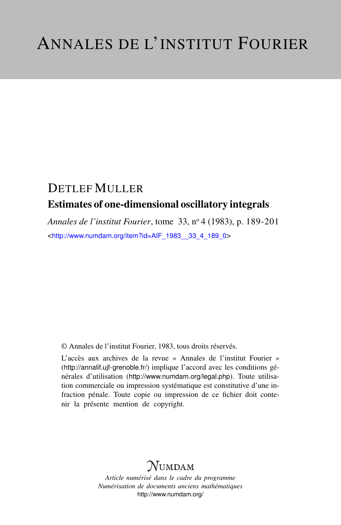## DETLEF MULLER Estimates of one-dimensional oscillatory integrals

*Annales de l'institut Fourier*, tome 33, n<sup>o</sup> 4 (1983), p. 189-201 <[http://www.numdam.org/item?id=AIF\\_1983\\_\\_33\\_4\\_189\\_0](http://www.numdam.org/item?id=AIF_1983__33_4_189_0)>

© Annales de l'institut Fourier, 1983, tous droits réservés.

L'accès aux archives de la revue « Annales de l'institut Fourier » (<http://annalif.ujf-grenoble.fr/>) implique l'accord avec les conditions générales d'utilisation (<http://www.numdam.org/legal.php>). Toute utilisation commerciale ou impression systématique est constitutive d'une infraction pénale. Toute copie ou impression de ce fichier doit contenir la présente mention de copyright.

# NUMDAM

*Article numérisé dans le cadre du programme Numérisation de documents anciens mathématiques* <http://www.numdam.org/>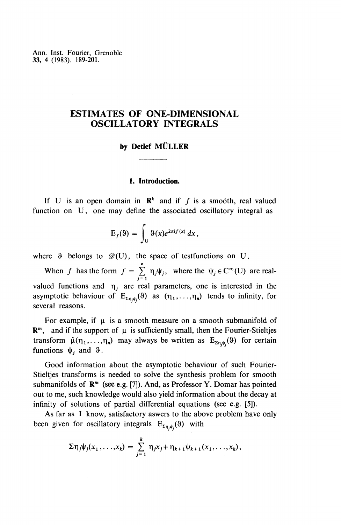Ann. Inst. Fourier, Grenoble **33,** 4 (1983). 189-201.

### **ESTIMATES OF ONE-DIMENSIONAL OSCILLATORY INTEGRALS**

#### **by Detlef MULLER**

#### **1. Introduction.**

If U is an open domain in  $\mathbb{R}^k$  and if f is a smooth, real valued function on U, one may define the associated oscillatory integral as

$$
E_f(3) = \int_U \vartheta(x) e^{2\pi i f(x)} dx,
$$

where 9 belongs to  $\mathscr{D}(U)$ , the space of testfunctions on U.

When *f* has the form  $f = \sum_{j=1}^n \eta_j \psi_j$ , where the  $\psi_j \in C^\infty(U)$  are realvalued functions and  $\eta_j$  are real parameters, one is interested in the asymptotic behaviour of  $E_{\Sigma \eta,\psi}(0)$  as  $(\eta_1,\ldots,\eta_n)$  tends to infinity, for several reasons.

For example, if  $\mu$  is a smooth measure on a smooth submanifold of  $\mathbb{R}^m$ , and if the support of  $\mu$  is sufficiently small, then the Fourier-Stieltjes transform  $\hat{\mu}(\eta_1, \ldots, \eta_n)$  may always be written as  $E_{\Sigma \eta_i \psi_i}(0)$  for certain functions  $\psi_j$  and  $\vartheta$ .

Good information about the asymptotic behaviour of such Fourier-Stieltjes transforms is needed to solve the synthesis problem for smooth submanifolds of  $\mathbb{R}^m$  (see e.g. [7]). And, as Professor Y. Domar has pointed out to me, such knowledge would also yield information about the decay at infinity of solutions of partial differential equations (see e.g. [5]).

As far as I know, satisfactory aswers to the above problem have only been given for oscillatory integrals  $E_{\Sigma \eta, \psi_i}(9)$  with

$$
\Sigma \eta_j \psi_j(x_1, \ldots, x_k) = \sum_{j=1}^k \eta_j x_j + \eta_{k+1} \psi_{k+1}(x_1, \ldots, x_k),
$$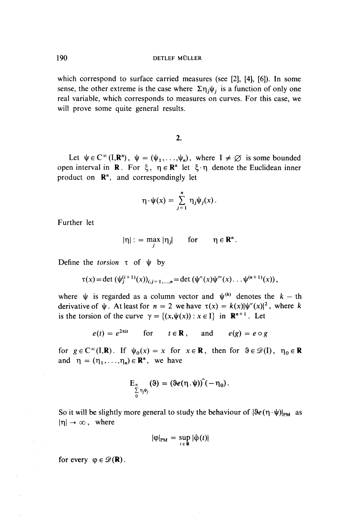which correspond to surface carried measures (see [2], [4), [6]). In some sense, the other extreme is the case where  $\Sigma \eta_i \psi_i$  is a function of only one real variable, which corresponds to measures on curves. For this case, we will prove some quite general results.

#### 2.

Let  $\psi \in C^{\infty}(I, \mathbf{R}^n)$ ,  $\psi = (\psi_1, \ldots, \psi_n)$ , where  $I \neq \emptyset$  is some bounded open interval in **R**. For  $\xi$ ,  $\eta \in \mathbb{R}^n$  let  $\xi \cdot \eta$  denote the Euclidean inner product on **R",** and correspondingly let

$$
\eta \cdot \psi(x) = \sum_{j=1}^n \eta_j \psi_j(x).
$$

Further let

$$
|\eta| := \max_i |\eta_j| \quad \text{for} \quad \eta \in \mathbf{R}^n.
$$

Define the *torsion*  $\tau$  of  $\psi$  by

$$
\tau(x) = \det (\psi_j^{(i+1)}(x))_{i,j=1,\dots,n} = \det (\psi''(x)\psi'''(x)\dots\psi^{(n+1)}(x)),
$$

where  $\psi$  is regarded as a column vector and  $\psi^{(k)}$  denotes the  $k - th$ derivative of  $\psi$ . At least for  $n = 2$  we have  $\tau(x) = k(x)|\psi''(x)|^2$ , where k is the torsion of the curve  $\gamma = \{(x,\psi(x)) : x \in I\}$  in  $\mathbb{R}^{n+1}$ . Let

$$
e(t) = e^{2\pi it}
$$
 for  $t \in \mathbb{R}$ , and  $e(g) = e \circ g$ 

for  $g \in \mathbb{C}^\infty(I,\mathbf{R})$ . If  $\psi_0(x) = x$  for  $x \in \mathbf{R}$ , then for  $\vartheta \in \mathcal{D}(I)$ ,  $\eta_0 \in \mathbf{R}$ and  $\eta = (\eta_1,\ldots,\eta_n) \in \mathbb{R}^n$ , we have

$$
E_n \underset{\delta}{\sum} \eta_j \psi_j \qquad (9) = (3e(\eta, \psi)) \hat{(-\eta_0)}.
$$

So it will be slightly more general to study the behaviour of  $\left|\Re e(\eta \cdot \psi)\right|_{\text{PM}}$  as  $|\eta| \to \infty$ , where

$$
|\varphi|_{\text{PM}} = \sup_{t \in \mathbf{R}} |\hat{\varphi}(t)|
$$

for every  $\varphi \in \mathscr{D}(\mathbf{R})$ .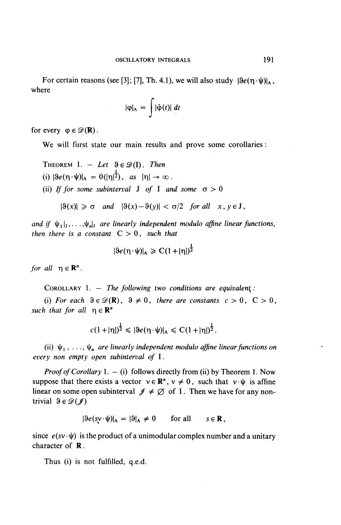For certain reasons (see [3]; [7], Th. 4.1), we will also study  $|3e(\eta \cdot \psi)|_A$ , where

$$
|\varphi|_A = \int |\hat{\varphi}(t)| dt
$$

for every  $\varphi \in \mathscr{D}(\mathbf{R})$ .

We will furst state our main results and prove some corollaries:

THEOREM 1. - Let  $\vartheta \in \mathscr{D}(\Gamma)$ . Then (i)  $|\Re(\mathbf{n} \cdot \mathbf{\psi})|_{\mathbf{A}} = 0(|\mathbf{n}|^{\frac{1}{2}})$ , *as*  $|\mathbf{n}| \to \infty$ . (ii) If for some subinterval J of I and some  $\sigma > 0$ 

$$
|\vartheta(x)| \ge \sigma
$$
 and  $|\vartheta(x) - \vartheta(y)| < \sigma/2$  for all  $x, y \in J$ ,

and if  $\psi_1|_j,\ldots,\psi_n|_j$  are linearly independent modulo affine linear functions, *then there is a constant*  $C > 0$ *, such that* 

$$
|\Re(e(\eta \cdot \psi)|_A \geq C(1+|\eta|)^{\frac{1}{2}}
$$

*for all*  $n \in \mathbb{R}^n$ .

COROLLARY 1. — *The following two conditions are equivalent :*

(i) For each  $\vartheta \in \mathcal{D}(\mathbb{R})$ ,  $\vartheta \neq 0$ , there are constants  $c > 0$ ,  $C > 0$ , *such that for all*  $\eta \in \mathbb{R}^n$ 

$$
c(1+|\eta|)^{\frac{1}{2}} \leq |\theta e(\eta \cdot \psi)|_A \leq C(1+|\eta|)^{\frac{1}{2}}.
$$

(ii)  $\psi_1, \ldots, \psi_n$  are linearly independent modulo affine linear functions on *every non empty open subinterval of* I.

*Proof of Corollary* 1. - (i) follows directly from (ii) by Theorem 1. Now suppose that there exists a vector  $v \in \mathbb{R}^n$ ,  $v \neq 0$ , such that  $v \cdot \psi$  is affine linear on some open subinterval  $\mathscr{J} \neq \emptyset$  of I. Then we have for any nontrivial  $\vartheta \in \mathscr{D}(\mathscr{J})$ 

 $|\Re (sv \cdot \psi)|_A = |\Re_A \neq 0$  for all  $s \in \mathbb{R}$ ,

since  $e(sv \cdot \psi)$  is the product of a unimodular complex number and a unitary character of R.

Thus (i) is not fulfilled, q.e.d.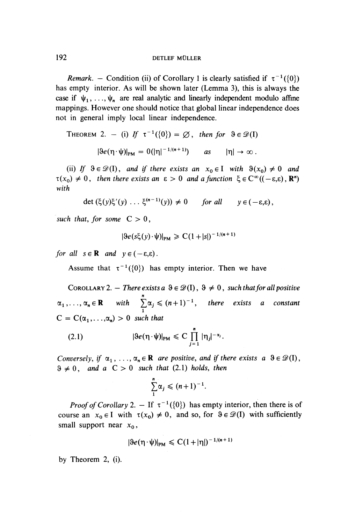*Remark.* – Condition (ii) of Corollary 1 is clearly satisfied if  $\tau^{-1}(\{0\})$ has empty interior. As will be shown later (Lemma 3), this is always the case if  $\psi_1, \ldots, \psi_n$  are real analytic and linearly independent modulo affine mappings. However one should notice that global linear independence does not in general imply local linear independence.

THEOREM 2. - (i) If  $\tau^{-1}(\{0\}) = \emptyset$ , then for  $\vartheta \in \mathcal{D}(I)$ 

$$
|\vartheta e(\eta \cdot \psi)|_{PM} = 0(|\eta|^{-1/(n+1)}) \quad \text{as} \quad |\eta| \to \infty.
$$

(ii) If  $\vartheta \in \mathcal{D}(I)$ , and if there exists an  $x_0 \in I$  with  $\vartheta(x_0) \neq 0$  and  $\tau(x_0) \neq 0$ , then there exists an  $\varepsilon > 0$  and a function  $\xi \in C^{\infty}((-\varepsilon,\varepsilon), \mathbb{R}^n)$ *with*

$$
\det\left(\xi(y)\xi'(y)\ldots\xi^{(n-1)}(y)\right)\neq 0 \quad \text{for all} \quad y\in(-\varepsilon,\varepsilon),
$$

such that, for some  $C > 0$ ,

$$
|\Re e(s\xi(y)\cdot\psi)|_{\text{PM}} \geq C(1+|s|)^{-1/(n+1)}
$$

for all  $s \in \mathbb{R}$  and  $v \in (-\varepsilon, \varepsilon)$ .

Assume that  $\tau^{-1}(\{0\})$  has empty interior. Then we have

COROLLARY 2.  $-$  There exists a  $\vartheta \in \mathscr{D}(I), \vartheta \neq 0$ , such that for all positive  $\alpha_1, \ldots, \alpha_n \in \mathbf{R}$  with  $\sum_{i=1}^n \alpha_i \leqslant (n+1)^{-1}$ , there exists a constant  $\frac{1}{1}$  $C = C(\alpha_1, \ldots, \alpha_n) > 0$  such that

$$
(2.1) \t\t |\theta e(\eta \cdot \psi)|_{PM} \leq C \prod_{j=1}^n |\eta_j|^{-\alpha_j}.
$$

*Conversely, if*  $\alpha_1, \ldots, \alpha_n \in \mathbb{R}$  *are positive, and if there exists a*  $\vartheta \in \mathcal{D}(I)$ ,  $9 \neq 0$ , and a  $C > 0$  such that (2.1) holds, then

$$
\sum_{1}^{n} \alpha_j \leqslant (n+1)^{-1}.
$$

*Proof of Corollary* 2.  $-$  If  $\tau^{-1}(\{0\})$  has empty interior, then there is of course an  $x_0 \in I$  with  $\tau(x_0) \neq 0$ , and so, for  $\vartheta \in \mathcal{D}(I)$  with sufficiently small support near  $x_0$ ,

$$
|\vartheta e(\eta \cdot \psi)|_{PM} \leqslant C(1+|\eta|)^{-1/(n+1)}
$$

by Theorem 2, (i).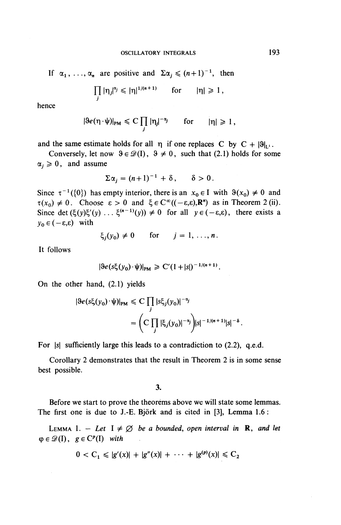If  $\alpha_1, \ldots, \alpha_n$  are positive and  $\Sigma \alpha_i \leq (n+1)^{-1}$ , then

$$
\prod_j |\eta_j|^{a_j} \leqslant |\eta|^{1/(n+1)} \quad \text{for} \quad |\eta| \geqslant 1,
$$

hence

$$
|\vartheta e(\eta \cdot \psi)|_{PM} \leqslant C \prod_j |\eta_j|^{-\alpha_j} \quad \text{for} \quad |\eta| \geqslant 1,
$$

and the same estimate holds for all  $\eta$  if one replaces C by  $C + |\theta|_{U}$ .

Conversely, let now  $9 \in \mathcal{D}(1)$ ,  $9 \neq 0$ , such that (2.1) holds for some  $\alpha_i \geq 0$ , and assume

$$
\Sigma \alpha_i = (n+1)^{-1} + \delta, \qquad \delta > 0.
$$

Since  $\tau^{-1}(\{0\})$  has empty interior, there is an  $x_0 \in I$  with  $\vartheta(x_0) \neq 0$  and  $\tau(x_0) \neq 0$ . Choose  $\varepsilon > 0$  and  $\xi \in C^{\infty}((-\varepsilon,\varepsilon),\mathbf{R}^n)$  as in Theorem 2 (ii). Since det  $(\xi(y)\xi'(y) \dots \xi^{(n-1)}(y)) \neq 0$  for all  $y \in (-\varepsilon,\varepsilon)$ , there exists a  $y_0 \in (-\varepsilon,\varepsilon)$  with

$$
\xi_j(y_0) \neq 0 \quad \text{for} \quad j = 1, \ldots, n.
$$

It follows

$$
|\Re e(s\xi(y_0)\cdot\psi)|_{PM} \geq C'(1+|s|)^{-1/(n+1)}.
$$

On the other hand, (2.1) yields

$$
|\Re (s\xi(y_0)\cdot\psi)|_{PM} \leq C \prod_j |s\xi_j(y_0)|^{-\alpha_j}
$$
  
= 
$$
\left(C \prod_j |\xi_j(y_0)|^{-\alpha_j}\right)|s|^{-1/(n+1)}|s|^{-\delta}.
$$

For |s| sufficiently large this leads to a contradiction to (2.2), q.e.d.

Corollary 2 demonstrates that the result in Theorem 2 is in some sense best possible.

**3.**

Before we start to prove the theorems above we will state some lemmas. The first one is due to J.-E. Björk and is cited in [3], Lemma 1.6 :

LEMMA 1. – Let  $I \neq \emptyset$  be a bounded, open interval in **R**, and let  $\varphi \in \mathscr{D}(I)$ ,  $g \in C^p(I)$  with

$$
0 < C_1 \leqslant |g'(x)| + |g''(x)| + \cdots + |g^{(p)}(x)| \leqslant C_2
$$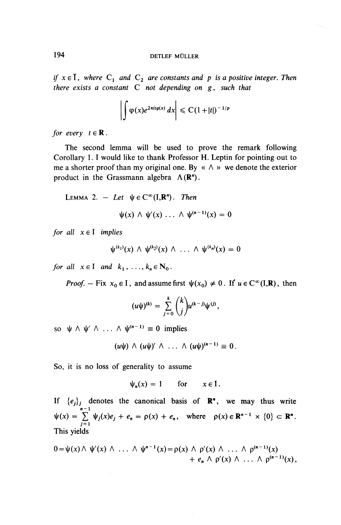### 194 DETLEF MÜLLER

*if*  $x \in \overline{I}$ , where  $C_1$  and  $C_2$  are constants and p is a positive integer. Then *there exists a constant C not depending on g , such that*

$$
\left|\int \varphi(x)e^{2\pi itg(x)}\,dx\right|\leqslant C\left(1+|t|\right)^{-1/p}
$$

*for every*  $t \in \mathbf{R}$ .

The second lemma will be used to prove the remark following Corollary 1. I would like to thank Professor H. Leptin for pointing out to me a shorter proof than my original one. **By** « A » we denote the exterior product in the Grassmann algebra  $\Lambda(\mathbb{R}^n)$ .

LEMMA 2. - Let  $\psi \in C^{\infty}(I, \mathbb{R}^n)$ . Then

 $\psi(x) \wedge \psi'(x) \ldots \wedge \psi^{(n-1)}(x) = 0$ 

*for all*  $x \in I$  *implies* 

$$
\psi^{(k_1)}(x) \wedge \psi^{(k_2)}(x) \wedge \ldots \wedge \psi^{(k_n)}(x) = 0
$$

*for all*  $x \in I$  *and*  $k_1, \ldots, k_n \in N_0$ .

*Proof.* – Fix  $x_0 \in I$ , and assume first  $\psi(x_0) \neq 0$ . If  $u \in C^\infty(I,\mathbb{R})$ , then

$$
(u\psi)^{(k)} = \sum_{j=0}^k {k \choose j} u^{(k-j)} \psi^{(j)},
$$

so  $\psi \wedge \psi' \wedge ... \wedge \psi^{(n-1)} \equiv 0$  implies

$$
(u\psi) \wedge (u\psi)' \wedge \ldots \wedge (u\psi)^{(n-1)} \equiv 0.
$$

So, it is no loss of generality to assume

$$
\psi_n(x) = 1 \quad \text{for} \quad x \in I.
$$

If  ${e_j}_j$  denotes the canonical basis of  $\mathbb{R}^n$ , we may thus write  $n-1$  $\psi(x) = \sum \psi_j(x) e_j + e_{\eta} = \rho(x) + e_{\eta}$ , where  $\rho(x) \in \mathbb{R}^{n-1} \times \{0\} \subset \mathbb{R}^n$ .  $\sum_{j=1}$ This yields

$$
0 = \psi(x) \wedge \psi'(x) \wedge \ldots \wedge \psi^{n-1}(x) = \rho(x) \wedge \rho'(x) \wedge \ldots \wedge \rho^{(n-1)}(x) + e_n \wedge \rho'(x) \wedge \ldots \wedge \rho^{(n-1)}(x),
$$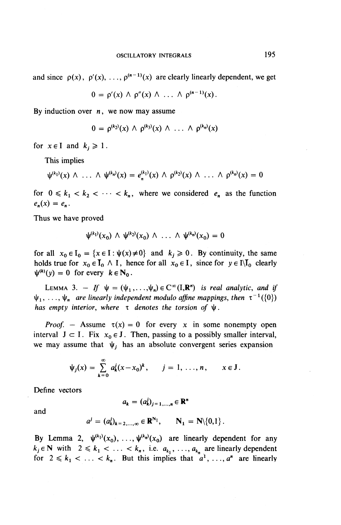and since  $\rho(x)$ ,  $\rho'(x)$ , ...,  $\rho^{(n-1)}(x)$  are clearly linearly dependent, we get

$$
0 = \rho'(x) \wedge \rho''(x) \wedge \ldots \wedge \rho^{(n-1)}(x).
$$

**By** induction over *n*, we now may assume

$$
0 = \rho^{(k_2)}(x) \wedge \rho^{(k_3)}(x) \wedge \ldots \wedge \rho^{(k_n)}(x)
$$

for  $x \in I$  and  $k_i \geq 1$ .

This implies

$$
\psi^{(k_1)}(x) \wedge \ldots \wedge \psi^{(k_n)}(x) = e_n^{(k_1)}(x) \wedge \rho^{(k_2)}(x) \wedge \ldots \wedge \rho^{(k_n)}(x) = 0
$$

for  $0 \leq k_1 < k_2 < \cdots < k_n$ , where we considered  $e_n$  as the function  $e_n(x) = e_n$ .

Thus we have proved

$$
\psi^{(k_1)}(x_0) \wedge \psi^{(k_2)}(x_0) \wedge \ldots \wedge \psi^{(k_n)}(x_0) = 0
$$

for all  $x_0 \in I_0 = \{x \in I : \psi(x) \neq 0\}$  and  $k_j \ge 0$ . By continuity, the same holds true for  $x_0 \in \mathbf{I}_0 \wedge \mathbf{I}$ , hence for all  $x_0 \in \mathbf{I}$ , since for  $y \in \mathbf{I} \setminus \mathbf{I}_0$  clearly  $\psi^{(k)}(v) = 0$  for every  $k \in N_0$ .

LEMMA 3. - If  $\psi = (\psi_1, \dots, \psi_n) \in C^\infty(I, \mathbb{R}^n)$  is real analytic, and if  $\psi_1, \ldots, \psi_n$  are linearly independent modulo affine mappings, then  $\tau^{-1}(\{0\})$ *has empty interior, where*  $\tau$  *denotes the torsion of*  $\psi$ .

*Proof.* – Assume  $\tau(x) = 0$  for every x in some nonempty open interval  $J \subset I$ . Fix  $x_0 \in J$ . Then, passing to a possibly smaller interval, we may assume that  $\psi_i$ , has an absolute convergent series expansion

$$
\psi_j(x) = \sum_{k=0}^{\infty} a_k^j (x-x_0)^k, \qquad j=1,\ldots,n, \qquad x \in J.
$$

Define vectors

$$
a_k = (a_k^j)_{j=1,\ldots,n} \in \mathbf{R}^n
$$

and

$$
a^{j} = (a_{k}^{j})_{k=2,\ldots,\infty} \in \mathbb{R}^{N_{1}}, \qquad \mathbb{N}_{1} = \mathbb{N} \setminus \{0,1\}.
$$

By Lemma 2,  $\psi^{(k_1)}(x_0), \ldots, \psi^{(k_n)}(x_0)$  are linearly dependent for any  $k_j \in \mathbb{N}$  with  $2 \le k_1 < \ldots < k_n$ , i.e.  $a_{k_1}, \ldots, a_{k_n}$  are linearly dependent for  $2 \le k_1 < \ldots < k_n$ . But this implies that  $a^1, \ldots, a^n$  are linearly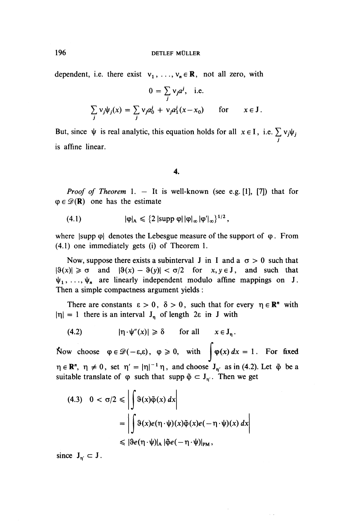196 DETLEF MÜLLER

dependent, i.e. there exist  $v_1, \ldots, v_n \in \mathbb{R}$ , not all zero, with

$$
0 = \sum_{j} v_j a^j, \quad \text{i.e.}
$$
  

$$
\sum_{j} v_j \psi_j(x) = \sum_{j} v_j a_0^j + v_j a_1^j (x - x_0) \quad \text{for} \quad x \in J.
$$

But, since  $\psi$  is real analytic, this equation holds for all  $x \in I$ , i.e.  $\sum v_j \psi_j$ . j is affine linear.

**4.**

*Proof of Theorem* 1.  $-$  It is well-known (see e.g. [1], [7]) that for  $\varphi \in \mathscr{D}(\mathbf{R})$  one has the estimate

$$
(4.1) \qquad |\phi|_A \leqslant \{2 \ | \text{supp }\phi| \, |\phi|_\infty \, |\phi'|_\infty\}^{1/2} \, ,
$$

where  $|\text{supp }\phi|$  denotes the Lebesgue measure of the support of  $\phi$ . From (4.1) one immediately gets (i) of Theorem 1.

Now, suppose there exists a subinterval J in I and a  $\sigma > 0$  such that  $|\vartheta(x)| \ge \sigma$  and  $|\vartheta(x) - \vartheta(y)| < \sigma/2$  for  $x, y \in J$ , and such that  $\psi_1, \ldots, \psi_n$  are linearly independent modulo affine mappings on J. Then a simple compactness argument yields :

There are constants  $\epsilon > 0$ ,  $\delta > 0$ , such that for every  $\eta \in \mathbb{R}^n$  with  $|\eta| = 1$  there is an interval  $J_n$  of length 2 $\varepsilon$  in J with

(4.2) 
$$
|\eta \cdot \psi''(x)| \geq \delta \quad \text{for all} \quad x \in J_n.
$$

Now choose  $\varphi \in \mathscr{D}(-\varepsilon,\varepsilon)$ ,  $\varphi \geq 0$ , with  $\int \varphi(x) dx = 1$ . For fixed  $\eta \in \mathbb{R}^n$ ,  $\eta \neq 0$ , set  $\eta' = |\eta|^{-1} \eta$ , and choose  $J_{\eta'}$  as in (4.2). Let  $\tilde{\varphi}$  be a suitable translate of  $\varphi$  such that supp  $\tilde{\varphi} \subset J_{\eta'}$ . Then we get

$$
(4.3) \quad 0 < \sigma/2 \le \left| \int \vartheta(x) \tilde{\varphi}(x) \, dx \right|
$$
\n
$$
= \left| \int \vartheta(x) e(\eta \cdot \psi)(x) \tilde{\varphi}(x) e(-\eta \cdot \psi)(x) \, dx \right|
$$
\n
$$
\le \left| \vartheta e(\eta \cdot \psi) \right|_{\mathsf{A}} \left| \tilde{\varphi} e(-\eta \cdot \psi) \right|_{\mathsf{PM}},
$$

since  $J_{n'} \subset J$ .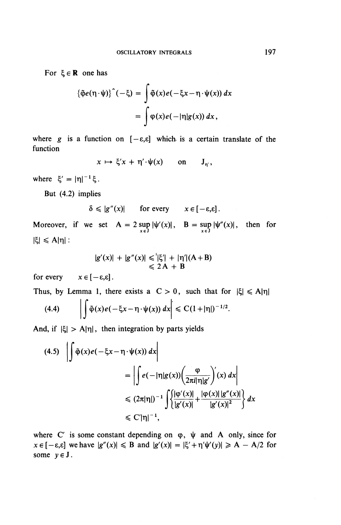For  $\xi \in \mathbf{R}$  one has

$$
\{\tilde{\varphi}e(\eta \cdot \psi)\}^{\,\hat{}}(-\xi) = \int \tilde{\varphi}(x)e(-\xi x - \eta \cdot \psi(x)) dx
$$

$$
= \int \varphi(x)e(-|\eta|g(x)) dx,
$$

where  $g$  is a function on  $[-\varepsilon,\varepsilon]$  which is a certain translate of the function

$$
x \mapsto \xi' x + \eta' \cdot \psi(x) \quad \text{on} \quad J_{\eta'}
$$

where  $\xi' = |\eta|^{-1} \xi$ .

But (4.2) implies

$$
\delta \leqslant |g''(x)| \qquad \text{for every} \qquad x \in [-\varepsilon, \varepsilon].
$$

Moreover, if we set  $A = 2 \sup_{x \in J} |\psi'(x)|$ ,  $B = \sup_{x \in J} |\psi''(x)|$ , then for  $|\xi| \leqslant A|\eta|$ :

$$
|g'(x)| + |g''(x)| \leq | \xi' | + |\eta'| (A + B)
$$
  
\n
$$
\leq 2A + B
$$

for every  $x \in [-\varepsilon, \varepsilon]$ .

Thus, by Lemma 1, there exists a  $C > 0$ , such that for  $|\xi| \le A|\eta|$ (4.4)  $\left| \phi(x)e(-\xi x - \eta \cdot \psi(x)) dx \right| \leq C(1+|\eta|)^{-1/2}.$ 

And, if 
$$
|\xi| > A|\eta|
$$
, then integration by parts yields

$$
(4.5) \quad \left| \int \tilde{\phi}(x) e(-\xi x - \eta \cdot \psi(x)) dx \right|
$$
\n
$$
= \left| \int e(-|\eta|g(x)) \left( \frac{\phi}{2\pi i |\eta|g'} \right)'(x) dx \right|
$$
\n
$$
\leq (2\pi |\eta|)^{-1} \int \left\{ \frac{|\phi'(x)|}{|g'(x)|} + \frac{|\phi(x)| |g''(x)|}{|g'(x)|^2} \right\} dx
$$
\n
$$
\leq C' |\eta|^{-1},
$$

where C' is some constant depending on  $\varphi$ ,  $\psi$  and A only, since for  $x \in [-\varepsilon, \varepsilon]$  we have  $|g''(x)| \leq B$  and  $|g'(x)| = |\xi' + \eta' \psi'(y)| \geq A - A/2$  for some  $y \in J$ .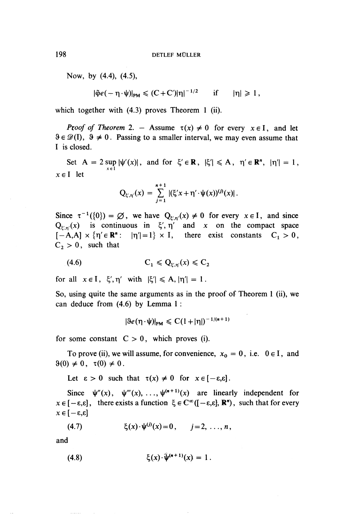Now, **by (4.4), (4.5),**

$$
|\tilde{\varphi}e(-\eta\cdot\psi)|_{PM}\leqslant (C+C')|\eta|^{-1/2}\qquad\text{if}\qquad|\eta|\geqslant 1\,,
$$

**which together with (4.3) proves Theorem 1 (ii).**

*Proof of Theorem* 2. - Assume  $\tau(x) \neq 0$  for every  $x \in I$ , and let  $\theta \in \mathcal{D}(1)$ ,  $\theta \neq 0$ . Passing to a smaller interval, we may even assume that I is closed.

Set  $A = 2 \sup_{x \in I} |\psi'(x)|$ , and for  $\xi' \in \mathbb{R}$ ,  $|\xi'| \leq A$ ,  $\eta' \in \mathbb{R}^n$ ,  $|\eta'| = 1$ , *xel* let

$$
Q_{\xi',\eta'}(x) = \sum_{j=1}^{n+1} |(\xi' x + \eta' \cdot \psi(x))^{(j)}(x)|.
$$

Since  $\tau^{-1}(\{0\}) = \emptyset$ , we have  $Q_{\xi,\eta}(x) \neq 0$  for every  $x \in I$ , and since  $Q_{\varepsilon,n}(x)$  is continuous in  $\xi', \eta'$  and x on the compact space  $[-A,A] \times {\eta' \in \mathbb{R}^n : |\eta'| = 1} \times I$ , there exist constants  $C_1 > 0$ ,  $C_2 > 0$ , such that

$$
(4.6) \tC_1 \leqslant Q_{\xi',\eta'}(x) \leqslant C_2
$$

for all  $x \in I$ ,  $\xi'$ ,  $\eta'$  with  $|\xi'| \leq A$ ,  $|\eta'| = 1$ .

So, using quite the same arguments as in the proof of Theorem 1 (ii), we can deduce from (4.6) by Lemma 1 :

$$
|\vartheta e(\eta \cdot \psi)|_{PM} \leqslant C(1+|\eta|)^{-1/(n+1)}
$$

for some constant  $C > 0$ , which proves (i).

To prove (ii), we will assume, for convenience,  $x_0 = 0$ , i.e.  $0 \in I$ , and  $9(0) \neq 0$ ,  $\tau(0) \neq 0$ .

Let  $\varepsilon > 0$  such that  $\tau(x) \neq 0$  for  $x \in [-\varepsilon, \varepsilon]$ .

Since  $\psi''(x)$ ,  $\psi'''(x)$ , ...,  $\psi^{(n+1)}(x)$  are linearly independent for  $x \in [-\varepsilon, \varepsilon]$ , there exists a function  $\xi \in C^{\infty}([- \varepsilon, \varepsilon], \mathbb{R}^{n})$ , such that for every  $x \in [-\varepsilon, \varepsilon]$ 

(4.7) 
$$
\xi(x) \cdot \psi^{(j)}(x) = 0, \quad j = 2, ..., n,
$$

and

(4.8) 
$$
\xi(x) \cdot \hat{\psi}^{(n+1)}(x) = 1.
$$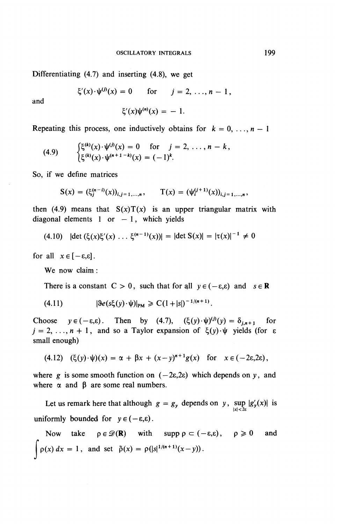Differentiating (4.7) and inserting (4.8), we get

$$
\xi'(x) \cdot \psi^{(j)}(x) = 0
$$
 for  $j = 2, ..., n - 1$ ,

**and**

$$
\xi'(x)\psi^{(n)}(x) = -1.
$$

Repeating this process, one inductively obtains for  $k = 0, \ldots, n - 1$ 

(4.9) 
$$
\begin{cases} \xi^{(k)}(x) \cdot \psi^{(j)}(x) = 0 & \text{for } j = 2, ..., n - k, \\ \xi^{(k)}(x) \cdot \psi^{(n+1-k)}(x) = (-1)^k. \end{cases}
$$

So, if we define matrices

$$
S(x) = (\xi_j^{(n-i)}(x))_{i,j=1,\dots,n}, \qquad T(x) = (\psi_i^{(j+1)}(x))_{i,j=1,\dots,n},
$$

then (4.9) means that  $S(x)T(x)$  is an upper triangular matrix with diagonal elements 1 or  $-1$ , which yields

$$
(4.10) \quad |\det(\xi(x)\xi'(x) \dots \xi^{(n-1)}(x))| = |\det S(x)| = |\tau(x)|^{-1} \neq 0
$$

for all  $x \in [-\varepsilon, \varepsilon]$ .

**We** now claim:

There is a constant  $C > 0$ , such that for all  $y \in (-\varepsilon, \varepsilon)$  and  $s \in \mathbb{R}$ 

(4.11) 
$$
|\Re e(s\xi(y)\cdot \psi)|_{PM} \geq C(1+|s|)^{-1/(n+1)}.
$$

Choose  $y \in (-\varepsilon,\varepsilon)$ . Then by (4.7),  $(\xi(y)\cdot\psi)^{(j)}(y) = \delta_{j,n+1}$  for  $j = 2, \ldots, n + 1$ , and so a Taylor expansion of  $\xi(y)\cdot\psi$  yields (for  $\varepsilon$ small enough)

(4.12) 
$$
(\xi(y) \cdot \psi)(x) = \alpha + \beta x + (x - y)^{n+1} g(x)
$$
 for  $x \in (-2\varepsilon, 2\varepsilon)$ ,

where  $g$  is some smooth function on  $(-2\varepsilon,2\varepsilon)$  which depends on  $y$ , and where  $\alpha$  and  $\beta$  are some real numbers.

Let us remark here that although  $g = g_y$  depends on y,  $\sup_{|x| < 2\varepsilon} |g'_y(x)|$  is uniformly bounded for  $y \in (-\varepsilon, \varepsilon)$ .

Now take  $\rho \in \mathcal{D}(R)$  with supp  $\rho \subset (-\varepsilon, \varepsilon), \rho \geq 0$  and  $\int \rho(x) dx = 1$ , and set  $\tilde{\rho}(x) = \rho(|s|^{1/(n+1)}(x-y)).$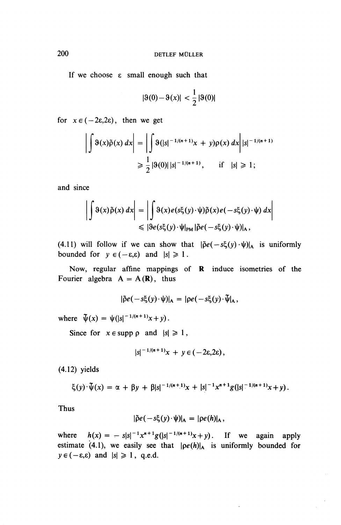If we choose  $\varepsilon$  small enough such that

$$
|\vartheta(0) - \vartheta(x)| < \frac{1}{2} |\vartheta(0)|
$$

for  $x \in (-2\varepsilon, 2\varepsilon)$ , then we get

$$
\left| \int \vartheta(x) \tilde{\rho}(x) \, dx \right| = \left| \int \vartheta(|s|^{-1/(n+1)}x + y) \rho(x) \, dx \right| |s|^{-1/(n+1)}
$$
  
 
$$
\geq \frac{1}{2} |\vartheta(0)| |s|^{-1/(n+1)}, \quad \text{if} \quad |s| \geq 1;
$$

and since

$$
\left| \int \vartheta(x) \tilde{\rho}(x) dx \right| = \left| \int \vartheta(x) e(s\xi(y) \cdot \psi) \tilde{\rho}(x) e(-s\xi(y) \cdot \psi) dx \right|
$$
  
\n
$$
\leq |\vartheta e(s\xi(y) \cdot \psi|_{PM} |\tilde{\rho} e(-s\xi(y) \cdot \psi)|_{A},
$$

(4.11) will follow if we can show that  $|\tilde{\rho}e(-s\xi(y) \cdot \psi)|_A$  is uniformly bounded for  $y \in (-\varepsilon, \varepsilon)$  and  $|s| \ge 1$ .

Now, regular affine mappings of R induce isometries of the Fourier algebra  $A = A(R)$ , thus

$$
|\tilde{\rho}e(-s\xi(y)\cdot\psi)|_{A}=|\rho e(-s\xi(y)\cdot\tilde{\psi}|_{A},
$$

where  $\[\Psi(x) = \psi(|s|^{-1/(n+1)}x + y)\]$ .

Since for  $x \in \text{supp } \rho$  and  $|s| \geq 1$ ,

$$
|s|^{-1/(n+1)}x + y \in (-2\varepsilon, 2\varepsilon),
$$

(4.12) yields

$$
\xi(y)\cdot \tilde{\psi}(x) = \alpha + \beta y + \beta |s|^{-1/(n+1)}x + |s|^{-1}x^{n+1}g(|s|^{-1/(n+1)}x + y).
$$

Thus

$$
|\tilde{\rho}e(-s\xi(y)\cdot\psi)|_{A}=|\rho e(h)|_{A},
$$

where  $h(x) = - s|s|^{-1} x^{n+1} g(|s|^{-1/(n+1)} x + y)$ . If we again apply estimate (4.1), we easily see that  $|pe(h)|_A$  is uniformly bounded for  $y \in (-\varepsilon, \varepsilon)$  and  $|s| \ge 1$ , q.e.d.